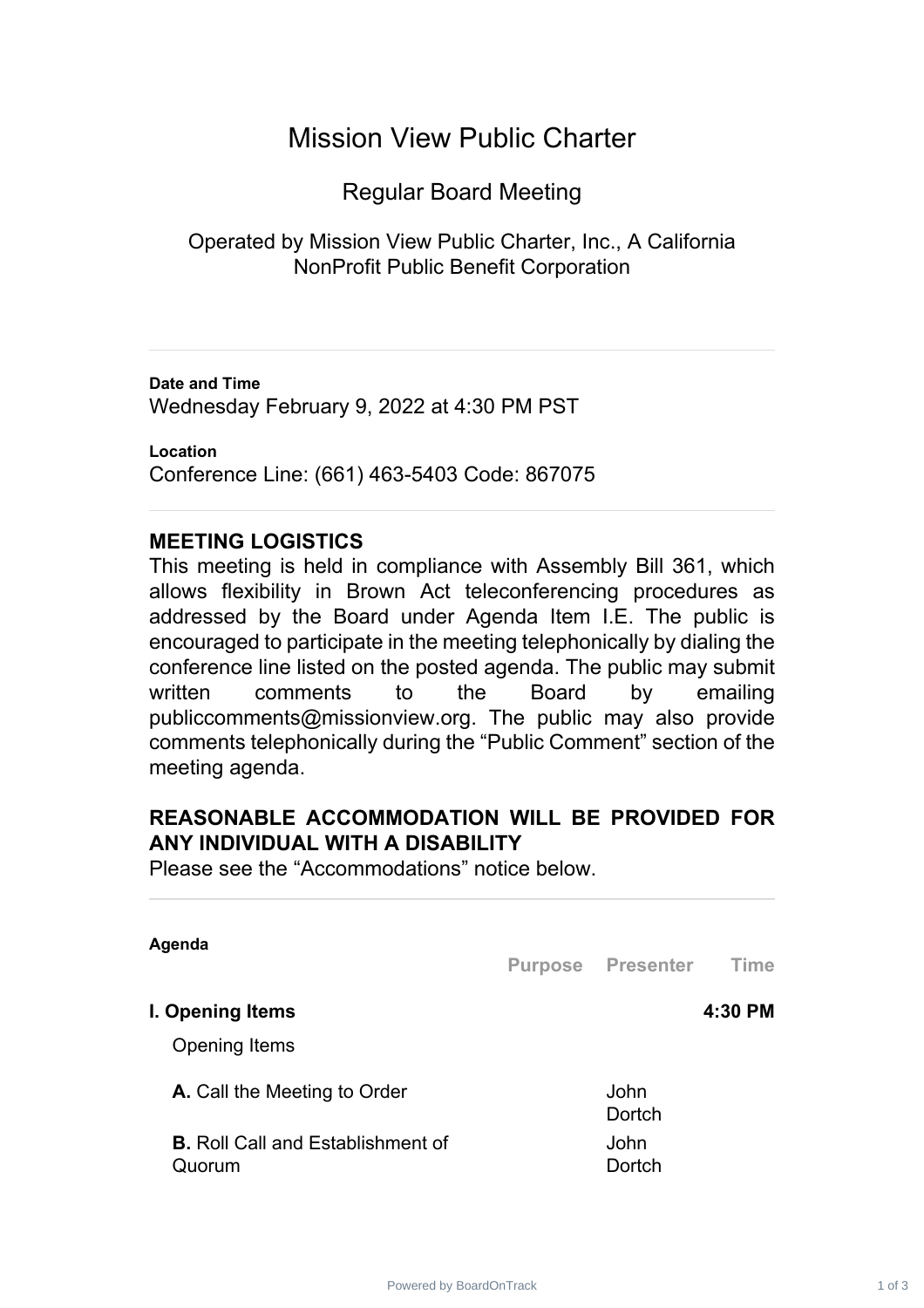# Mission View Public Charter

Regular Board Meeting

Operated by Mission View Public Charter, Inc., A California NonProfit Public Benefit Corporation

**Date and Time** Wednesday February 9, 2022 at 4:30 PM PST

**Location** Conference Line: (661) 463-5403 Code: 867075

## **MEETING LOGISTICS**

This meeting is held in compliance with Assembly Bill 361, which allows flexibility in Brown Act teleconferencing procedures as addressed by the Board under Agenda Item I.E. The public is encouraged to participate in the meeting telephonically by dialing the conference line listed on the posted agenda. The public may submit written comments to the Board by emailing publiccomments@missionview.org. The public may also provide comments telephonically during the "Public Comment" section of the meeting agenda.

## **REASONABLE ACCOMMODATION WILL BE PROVIDED FOR ANY INDIVIDUAL WITH A DISABILITY**

Please see the "Accommodations" notice below.

| Agenda                                             | <b>Purpose Presenter</b> | Time    |
|----------------------------------------------------|--------------------------|---------|
| I. Opening Items                                   |                          | 4:30 PM |
| <b>Opening Items</b>                               |                          |         |
| <b>A.</b> Call the Meeting to Order                | John<br>Dortch           |         |
| <b>B.</b> Roll Call and Establishment of<br>Quorum | John<br>Dortch           |         |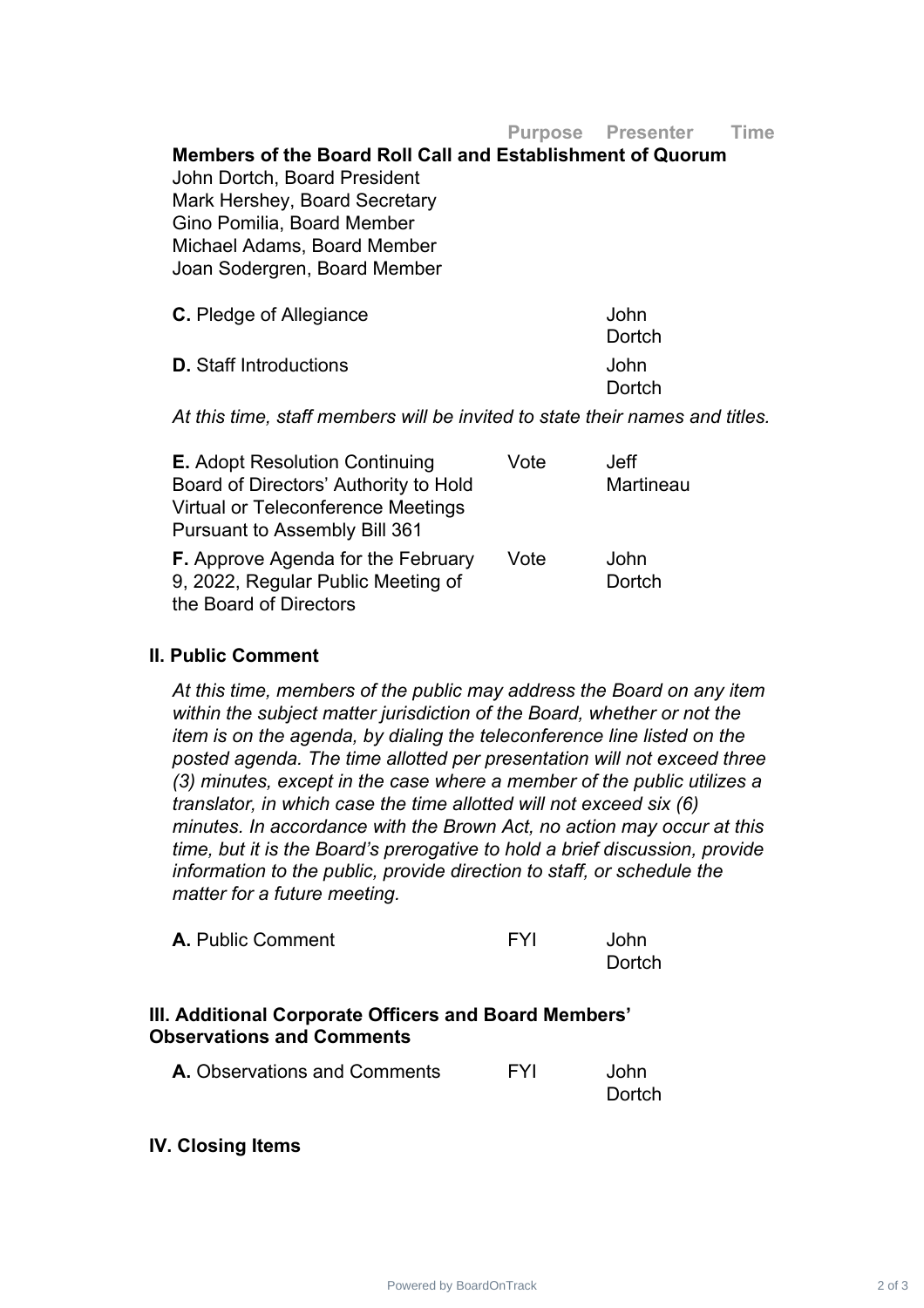**Purpose Presenter Time**

**Members of the Board Roll Call and Establishment of Quorum** John Dortch, Board President Mark Hershey, Board Secretary Gino Pomilia, Board Member Michael Adams, Board Member Joan Sodergren, Board Member

| <b>C.</b> Pledge of Allegiance | John   |
|--------------------------------|--------|
|                                | Dortch |
| <b>D.</b> Staff Introductions  | John   |
|                                | Dortch |

*At this time, staff members will be invited to state their names and titles.*

| <b>E.</b> Adopt Resolution Continuing     | Vote | Jeff      |
|-------------------------------------------|------|-----------|
| Board of Directors' Authority to Hold     |      | Martineau |
| <b>Virtual or Teleconference Meetings</b> |      |           |
| <b>Pursuant to Assembly Bill 361</b>      |      |           |
| <b>F.</b> Approve Agenda for the February | Vote | John      |
| 9, 2022, Regular Public Meeting of        |      | Dortch    |
| the Board of Directors                    |      |           |

#### **II. Public Comment**

*At this time, members of the public may address the Board on any item within the subject matter jurisdiction of the Board, whether or not the item is on the agenda, by dialing the teleconference line listed on the posted agenda. The time allotted per presentation will not exceed three (3) minutes, except in the case where a member of the public utilizes a translator, in which case the time allotted will not exceed six (6) minutes. In accordance with the Brown Act, no action may occur at this time, but it is the Board's prerogative to hold a brief discussion, provide information to the public, provide direction to staff, or schedule the matter for a future meeting.*

| <b>A.</b> Public Comment | <b>FYI</b> | John   |
|--------------------------|------------|--------|
|                          |            | Dortch |

### **III. Additional Corporate Officers and Board Members' Observations and Comments**

| <b>A.</b> Observations and Comments | FYI | John   |
|-------------------------------------|-----|--------|
|                                     |     | Dortch |

#### **IV. Closing Items**